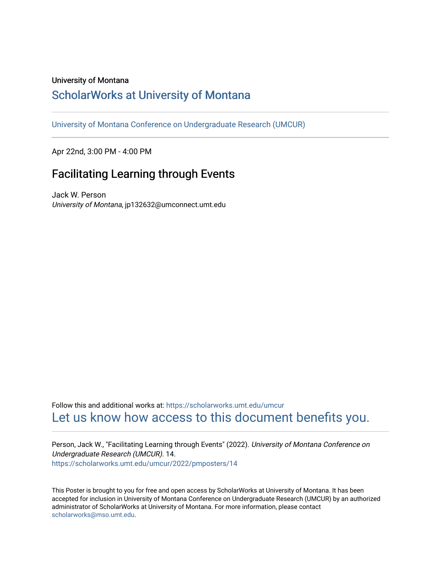## University of Montana

## [ScholarWorks at University of Montana](https://scholarworks.umt.edu/)

[University of Montana Conference on Undergraduate Research \(UMCUR\)](https://scholarworks.umt.edu/umcur)

Apr 22nd, 3:00 PM - 4:00 PM

## Facilitating Learning through Events

Jack W. Person University of Montana, jp132632@umconnect.umt.edu

Follow this and additional works at: [https://scholarworks.umt.edu/umcur](https://scholarworks.umt.edu/umcur?utm_source=scholarworks.umt.edu%2Fumcur%2F2022%2Fpmposters%2F14&utm_medium=PDF&utm_campaign=PDFCoverPages)  [Let us know how access to this document benefits you.](https://goo.gl/forms/s2rGfXOLzz71qgsB2) 

Person, Jack W., "Facilitating Learning through Events" (2022). University of Montana Conference on Undergraduate Research (UMCUR). 14. [https://scholarworks.umt.edu/umcur/2022/pmposters/14](https://scholarworks.umt.edu/umcur/2022/pmposters/14?utm_source=scholarworks.umt.edu%2Fumcur%2F2022%2Fpmposters%2F14&utm_medium=PDF&utm_campaign=PDFCoverPages) 

This Poster is brought to you for free and open access by ScholarWorks at University of Montana. It has been accepted for inclusion in University of Montana Conference on Undergraduate Research (UMCUR) by an authorized administrator of ScholarWorks at University of Montana. For more information, please contact [scholarworks@mso.umt.edu.](mailto:scholarworks@mso.umt.edu)